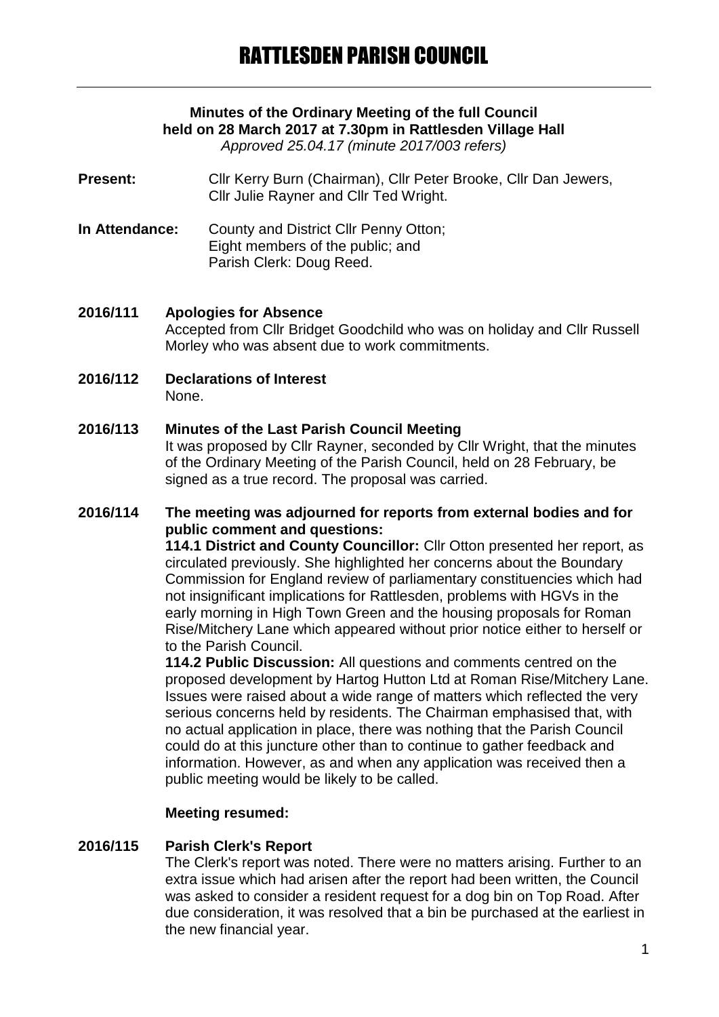# **Minutes of the Ordinary Meeting of the full Council held on 28 March 2017 at 7.30pm in Rattlesden Village Hall**

*Approved 25.04.17 (minute 2017/003 refers)*

**Present:** Cllr Kerry Burn (Chairman), Cllr Peter Brooke, Cllr Dan Jewers, Cllr Julie Rayner and Cllr Ted Wright.

**In Attendance:** County and District Cllr Penny Otton; Eight members of the public; and Parish Clerk: Doug Reed.

# **2016/111 Apologies for Absence**

Accepted from Cllr Bridget Goodchild who was on holiday and Cllr Russell Morley who was absent due to work commitments.

**2016/112 Declarations of Interest** None.

# **2016/113 Minutes of the Last Parish Council Meeting**

It was proposed by Cllr Rayner, seconded by Cllr Wright, that the minutes of the Ordinary Meeting of the Parish Council, held on 28 February, be signed as a true record. The proposal was carried.

#### **2016/114 The meeting was adjourned for reports from external bodies and for public comment and questions:**

**114.1 District and County Councillor:** Cllr Otton presented her report, as circulated previously. She highlighted her concerns about the Boundary Commission for England review of parliamentary constituencies which had not insignificant implications for Rattlesden, problems with HGVs in the early morning in High Town Green and the housing proposals for Roman Rise/Mitchery Lane which appeared without prior notice either to herself or to the Parish Council.

**114.2 Public Discussion:** All questions and comments centred on the proposed development by Hartog Hutton Ltd at Roman Rise/Mitchery Lane. Issues were raised about a wide range of matters which reflected the very serious concerns held by residents. The Chairman emphasised that, with no actual application in place, there was nothing that the Parish Council could do at this juncture other than to continue to gather feedback and information. However, as and when any application was received then a public meeting would be likely to be called.

# **Meeting resumed:**

# **2016/115 Parish Clerk's Report**

The Clerk's report was noted. There were no matters arising. Further to an extra issue which had arisen after the report had been written, the Council was asked to consider a resident request for a dog bin on Top Road. After due consideration, it was resolved that a bin be purchased at the earliest in the new financial year.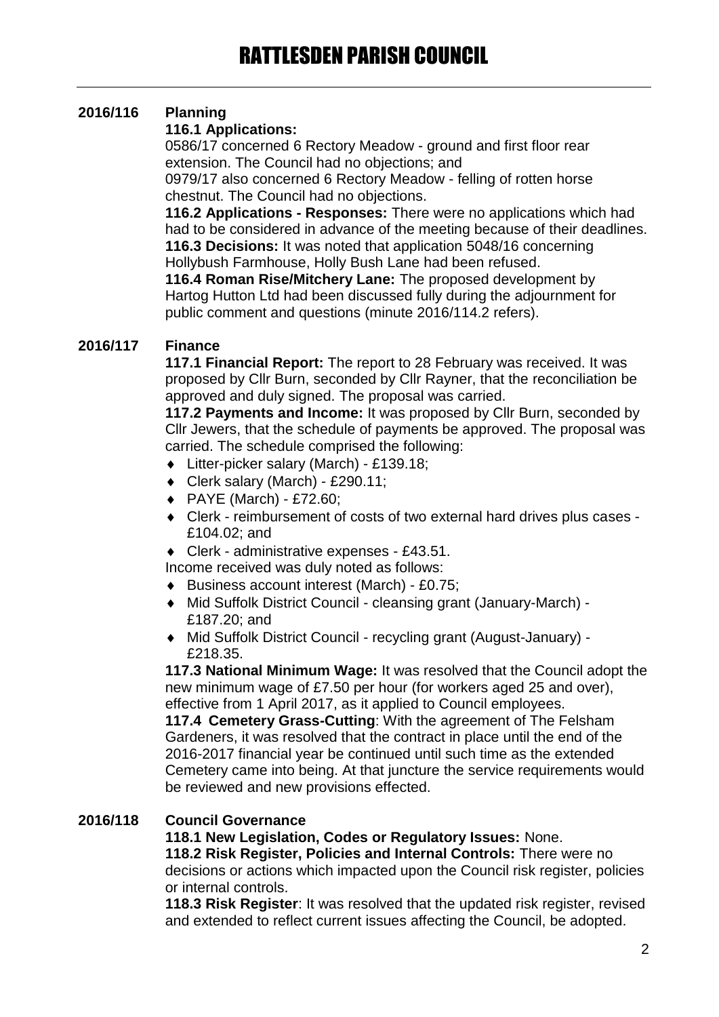# **2016/116 Planning**

# **116.1 Applications:**

0586/17 concerned 6 Rectory Meadow - ground and first floor rear extension. The Council had no objections; and 0979/17 also concerned 6 Rectory Meadow - felling of rotten horse

chestnut. The Council had no objections.

**116.2 Applications - Responses:** There were no applications which had had to be considered in advance of the meeting because of their deadlines. **116.3 Decisions:** It was noted that application 5048/16 concerning Hollybush Farmhouse, Holly Bush Lane had been refused.

**116.4 Roman Rise/Mitchery Lane:** The proposed development by Hartog Hutton Ltd had been discussed fully during the adjournment for public comment and questions (minute 2016/114.2 refers).

# **2016/117 Finance**

**117.1 Financial Report:** The report to 28 February was received. It was proposed by Cllr Burn, seconded by Cllr Rayner, that the reconciliation be approved and duly signed. The proposal was carried.

**117.2 Payments and Income:** It was proposed by Cllr Burn, seconded by Cllr Jewers, that the schedule of payments be approved. The proposal was carried. The schedule comprised the following:

- Litter-picker salary (March) £139.18;
- Clerk salary (March) £290.11;
- PAYE (March) £72.60;
- Clerk reimbursement of costs of two external hard drives plus cases £104.02; and
- Clerk administrative expenses £43.51.
- Income received was duly noted as follows:
- ◆ Business account interest (March) £0.75;
- Mid Suffolk District Council cleansing grant (January-March) £187.20; and
- Mid Suffolk District Council recycling grant (August-January) £218.35.

**117.3 National Minimum Wage:** It was resolved that the Council adopt the new minimum wage of £7.50 per hour (for workers aged 25 and over), effective from 1 April 2017, as it applied to Council employees.

**117.4 Cemetery Grass-Cutting**: With the agreement of The Felsham Gardeners, it was resolved that the contract in place until the end of the 2016-2017 financial year be continued until such time as the extended Cemetery came into being. At that juncture the service requirements would be reviewed and new provisions effected.

# **2016/118 Council Governance**

**118.1 New Legislation, Codes or Regulatory Issues:** None.

**118.2 Risk Register, Policies and Internal Controls:** There were no decisions or actions which impacted upon the Council risk register, policies or internal controls.

**118.3 Risk Register**: It was resolved that the updated risk register, revised and extended to reflect current issues affecting the Council, be adopted.